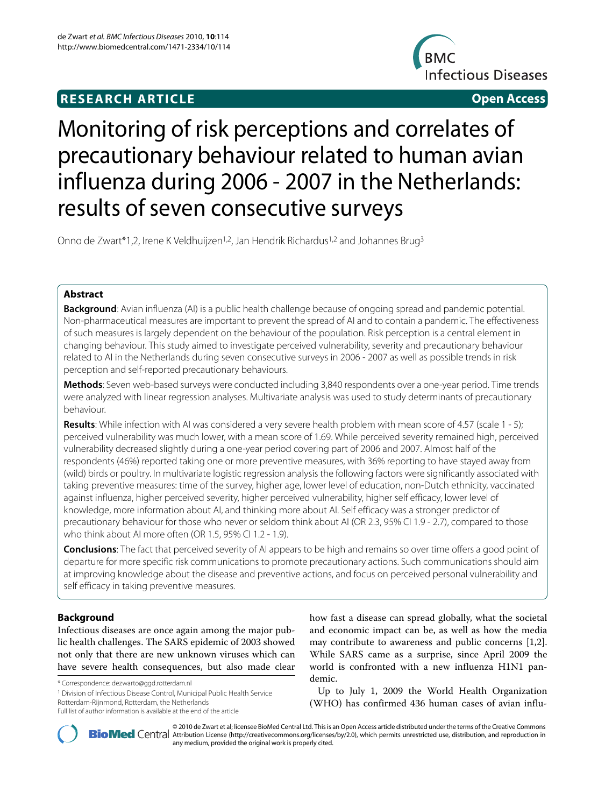# **RESEARCH ARTICLE Open Access**



# Monitoring of risk perceptions and correlates of precautionary behaviour related to human avian influenza during 2006 - 2007 in the Netherlands: results of seven consecutive surveys

Onno de Zwart\*1,2, Irene K Veldhuijzen<sup>1,2</sup>, Jan Hendrik Richardus<sup>1,2</sup> and Johannes Brug<sup>3</sup>

# **Abstract**

**Background**: Avian influenza (AI) is a public health challenge because of ongoing spread and pandemic potential. Non-pharmaceutical measures are important to prevent the spread of AI and to contain a pandemic. The effectiveness of such measures is largely dependent on the behaviour of the population. Risk perception is a central element in changing behaviour. This study aimed to investigate perceived vulnerability, severity and precautionary behaviour related to AI in the Netherlands during seven consecutive surveys in 2006 - 2007 as well as possible trends in risk perception and self-reported precautionary behaviours.

**Methods**: Seven web-based surveys were conducted including 3,840 respondents over a one-year period. Time trends were analyzed with linear regression analyses. Multivariate analysis was used to study determinants of precautionary behaviour.

**Results**: While infection with AI was considered a very severe health problem with mean score of 4.57 (scale 1 - 5); perceived vulnerability was much lower, with a mean score of 1.69. While perceived severity remained high, perceived vulnerability decreased slightly during a one-year period covering part of 2006 and 2007. Almost half of the respondents (46%) reported taking one or more preventive measures, with 36% reporting to have stayed away from (wild) birds or poultry. In multivariate logistic regression analysis the following factors were significantly associated with taking preventive measures: time of the survey, higher age, lower level of education, non-Dutch ethnicity, vaccinated against influenza, higher perceived severity, higher perceived vulnerability, higher self efficacy, lower level of knowledge, more information about AI, and thinking more about AI. Self efficacy was a stronger predictor of precautionary behaviour for those who never or seldom think about AI (OR 2.3, 95% CI 1.9 - 2.7), compared to those who think about AI more often (OR 1.5, 95% CI 1.2 - 1.9).

**Conclusions**: The fact that perceived severity of AI appears to be high and remains so over time offers a good point of departure for more specific risk communications to promote precautionary actions. Such communications should aim at improving knowledge about the disease and preventive actions, and focus on perceived personal vulnerability and self efficacy in taking preventive measures.

# **Background**

Infectious diseases are once again among the major public health challenges. The SARS epidemic of 2003 showed not only that there are new unknown viruses which can have severe health consequences, but also made clear

\* Correspondence: dezwarto@ggd.rotterdam.nl

1 Division of Infectious Disease Control, Municipal Public Health Service Rotterdam-Rijnmond, Rotterdam, the Netherlands

how fast a disease can spread globally, what the societal and economic impact can be, as well as how the media may contribute to awareness and public concerns [\[1](#page-13-0)[,2](#page-13-1)]. While SARS came as a surprise, since April 2009 the world is confronted with a new influenza H1N1 pandemic.

Up to July 1, 2009 the World Health Organization (WHO) has confirmed 436 human cases of avian influ-



2010 de Zwart et al; licensee [BioMed](http://www.biomedcentral.com/) Central Ltd. This is an Open Access article distributed under the terms of the Creative Commons (http://creativecommons.org/licenses/by/2.0), which permits unrestricted use, distributio any medium, provided the original work is properly cited.

Full list of author information is available at the end of the article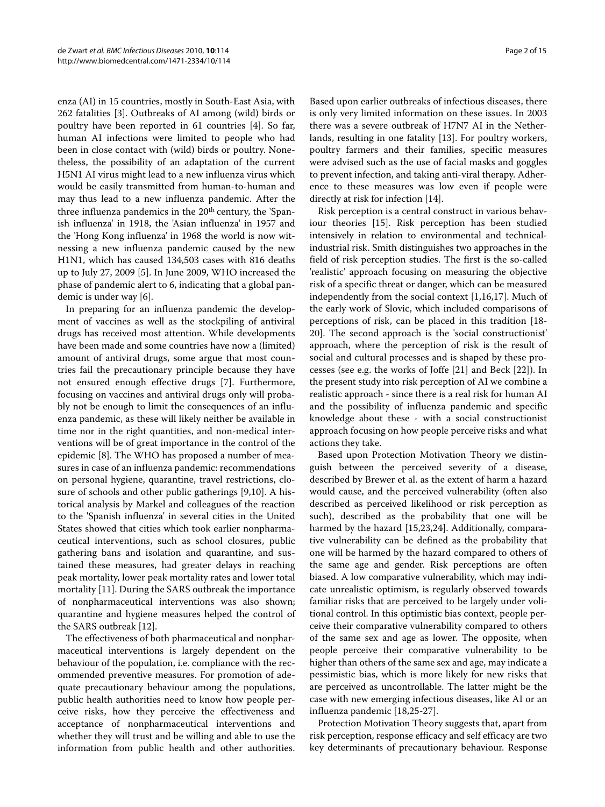enza (AI) in 15 countries, mostly in South-East Asia, with 262 fatalities [\[3](#page-13-2)]. Outbreaks of AI among (wild) birds or poultry have been reported in 61 countries [[4\]](#page-13-3). So far, human AI infections were limited to people who had been in close contact with (wild) birds or poultry. Nonetheless, the possibility of an adaptation of the current H5N1 AI virus might lead to a new influenza virus which would be easily transmitted from human-to-human and may thus lead to a new influenza pandemic. After the three influenza pandemics in the 20<sup>th</sup> century, the 'Spanish influenza' in 1918, the 'Asian influenza' in 1957 and the 'Hong Kong influenza' in 1968 the world is now witnessing a new influenza pandemic caused by the new H1N1, which has caused 134,503 cases with 816 deaths up to July 27, 2009 [[5\]](#page-13-4). In June 2009, WHO increased the phase of pandemic alert to 6, indicating that a global pandemic is under way [[6\]](#page-13-5).

In preparing for an influenza pandemic the development of vaccines as well as the stockpiling of antiviral drugs has received most attention. While developments have been made and some countries have now a (limited) amount of antiviral drugs, some argue that most countries fail the precautionary principle because they have not ensured enough effective drugs [\[7](#page-13-6)]. Furthermore, focusing on vaccines and antiviral drugs only will probably not be enough to limit the consequences of an influenza pandemic, as these will likely neither be available in time nor in the right quantities, and non-medical interventions will be of great importance in the control of the epidemic [[8\]](#page-13-7). The WHO has proposed a number of measures in case of an influenza pandemic: recommendations on personal hygiene, quarantine, travel restrictions, closure of schools and other public gatherings [[9](#page-13-8)[,10\]](#page-13-9). A historical analysis by Markel and colleagues of the reaction to the 'Spanish influenza' in several cities in the United States showed that cities which took earlier nonpharmaceutical interventions, such as school closures, public gathering bans and isolation and quarantine, and sustained these measures, had greater delays in reaching peak mortality, lower peak mortality rates and lower total mortality [[11\]](#page-13-10). During the SARS outbreak the importance of nonpharmaceutical interventions was also shown; quarantine and hygiene measures helped the control of the SARS outbreak [\[12](#page-13-11)].

The effectiveness of both pharmaceutical and nonpharmaceutical interventions is largely dependent on the behaviour of the population, i.e. compliance with the recommended preventive measures. For promotion of adequate precautionary behaviour among the populations, public health authorities need to know how people perceive risks, how they perceive the effectiveness and acceptance of nonpharmaceutical interventions and whether they will trust and be willing and able to use the information from public health and other authorities.

Based upon earlier outbreaks of infectious diseases, there is only very limited information on these issues. In 2003 there was a severe outbreak of H7N7 AI in the Netherlands, resulting in one fatality [[13\]](#page-13-12). For poultry workers, poultry farmers and their families, specific measures were advised such as the use of facial masks and goggles to prevent infection, and taking anti-viral therapy. Adherence to these measures was low even if people were directly at risk for infection [\[14](#page-13-13)].

Risk perception is a central construct in various behaviour theories [\[15](#page-13-14)]. Risk perception has been studied intensively in relation to environmental and technicalindustrial risk. Smith distinguishes two approaches in the field of risk perception studies. The first is the so-called 'realistic' approach focusing on measuring the objective risk of a specific threat or danger, which can be measured independently from the social context [[1](#page-13-0),[16,](#page-13-15)[17\]](#page-13-16). Much of the early work of Slovic, which included comparisons of perceptions of risk, can be placed in this tradition [\[18-](#page-13-17) [20\]](#page-13-18). The second approach is the 'social constructionist' approach, where the perception of risk is the result of social and cultural processes and is shaped by these processes (see e.g. the works of Joffe [\[21\]](#page-13-19) and Beck [\[22](#page-13-20)]). In the present study into risk perception of AI we combine a realistic approach - since there is a real risk for human AI and the possibility of influenza pandemic and specific knowledge about these - with a social constructionist approach focusing on how people perceive risks and what actions they take.

Based upon Protection Motivation Theory we distinguish between the perceived severity of a disease, described by Brewer et al. as the extent of harm a hazard would cause, and the perceived vulnerability (often also described as perceived likelihood or risk perception as such), described as the probability that one will be harmed by the hazard [[15,](#page-13-14)[23,](#page-13-21)[24\]](#page-13-22). Additionally, comparative vulnerability can be defined as the probability that one will be harmed by the hazard compared to others of the same age and gender. Risk perceptions are often biased. A low comparative vulnerability, which may indicate unrealistic optimism, is regularly observed towards familiar risks that are perceived to be largely under volitional control. In this optimistic bias context, people perceive their comparative vulnerability compared to others of the same sex and age as lower. The opposite, when people perceive their comparative vulnerability to be higher than others of the same sex and age, may indicate a pessimistic bias, which is more likely for new risks that are perceived as uncontrollable. The latter might be the case with new emerging infectious diseases, like AI or an influenza pandemic [[18,](#page-13-17)[25](#page-13-23)[-27](#page-13-24)].

Protection Motivation Theory suggests that, apart from risk perception, response efficacy and self efficacy are two key determinants of precautionary behaviour. Response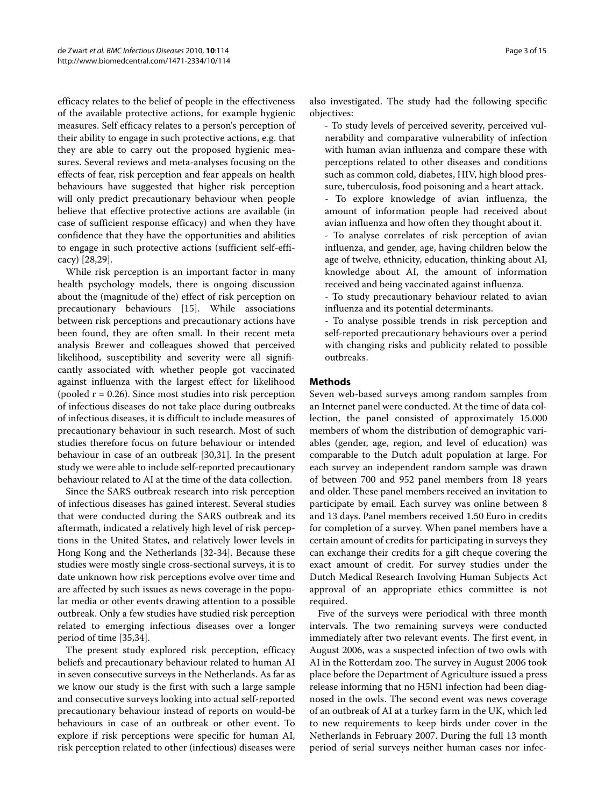efficacy relates to the belief of people in the effectiveness of the available protective actions, for example hygienic measures. Self efficacy relates to a person's perception of their ability to engage in such protective actions, e.g. that they are able to carry out the proposed hygienic measures. Several reviews and meta-analyses focusing on the effects of fear, risk perception and fear appeals on health behaviours have suggested that higher risk perception will only predict precautionary behaviour when people believe that effective protective actions are available (in case of sufficient response efficacy) and when they have confidence that they have the opportunities and abilities to engage in such protective actions (sufficient self-efficacy) [[28](#page-13-25),[29](#page-13-26)].

While risk perception is an important factor in many health psychology models, there is ongoing discussion about the (magnitude of the) effect of risk perception on precautionary behaviours [\[15](#page-13-14)]. While associations between risk perceptions and precautionary actions have been found, they are often small. In their recent meta analysis Brewer and colleagues showed that perceived likelihood, susceptibility and severity were all significantly associated with whether people got vaccinated against influenza with the largest effect for likelihood (pooled  $r = 0.26$ ). Since most studies into risk perception of infectious diseases do not take place during outbreaks of infectious diseases, it is difficult to include measures of precautionary behaviour in such research. Most of such studies therefore focus on future behaviour or intended behaviour in case of an outbreak [[30,](#page-13-27)[31\]](#page-13-28). In the present study we were able to include self-reported precautionary behaviour related to AI at the time of the data collection.

Since the SARS outbreak research into risk perception of infectious diseases has gained interest. Several studies that were conducted during the SARS outbreak and its aftermath, indicated a relatively high level of risk perceptions in the United States, and relatively lower levels in Hong Kong and the Netherlands [\[32](#page-13-29)-[34\]](#page-13-30). Because these studies were mostly single cross-sectional surveys, it is to date unknown how risk perceptions evolve over time and are affected by such issues as news coverage in the popular media or other events drawing attention to a possible outbreak. Only a few studies have studied risk perception related to emerging infectious diseases over a longer period of time [\[35](#page-13-31)[,34](#page-13-30)].

The present study explored risk perception, efficacy beliefs and precautionary behaviour related to human AI in seven consecutive surveys in the Netherlands. As far as we know our study is the first with such a large sample and consecutive surveys looking into actual self-reported precautionary behaviour instead of reports on would-be behaviours in case of an outbreak or other event. To explore if risk perceptions were specific for human AI, risk perception related to other (infectious) diseases were

also investigated. The study had the following specific objectives:

- To study levels of perceived severity, perceived vulnerability and comparative vulnerability of infection with human avian influenza and compare these with perceptions related to other diseases and conditions such as common cold, diabetes, HIV, high blood pressure, tuberculosis, food poisoning and a heart attack.

- To explore knowledge of avian influenza, the amount of information people had received about avian influenza and how often they thought about it.

To analyse correlates of risk perception of avian influenza, and gender, age, having children below the age of twelve, ethnicity, education, thinking about AI, knowledge about AI, the amount of information received and being vaccinated against influenza.

- To study precautionary behaviour related to avian influenza and its potential determinants.

- To analyse possible trends in risk perception and self-reported precautionary behaviours over a period with changing risks and publicity related to possible outbreaks.

# **Methods**

Seven web-based surveys among random samples from an Internet panel were conducted. At the time of data collection, the panel consisted of approximately 15.000 members of whom the distribution of demographic variables (gender, age, region, and level of education) was comparable to the Dutch adult population at large. For each survey an independent random sample was drawn of between 700 and 952 panel members from 18 years and older. These panel members received an invitation to participate by email. Each survey was online between 8 and 13 days. Panel members received 1.50 Euro in credits for completion of a survey. When panel members have a certain amount of credits for participating in surveys they can exchange their credits for a gift cheque covering the exact amount of credit. For survey studies under the Dutch Medical Research Involving Human Subjects Act approval of an appropriate ethics committee is not required.

Five of the surveys were periodical with three month intervals. The two remaining surveys were conducted immediately after two relevant events. The first event, in August 2006, was a suspected infection of two owls with AI in the Rotterdam zoo. The survey in August 2006 took place before the Department of Agriculture issued a press release informing that no H5N1 infection had been diagnosed in the owls. The second event was news coverage of an outbreak of AI at a turkey farm in the UK, which led to new requirements to keep birds under cover in the Netherlands in February 2007. During the full 13 month period of serial surveys neither human cases nor infec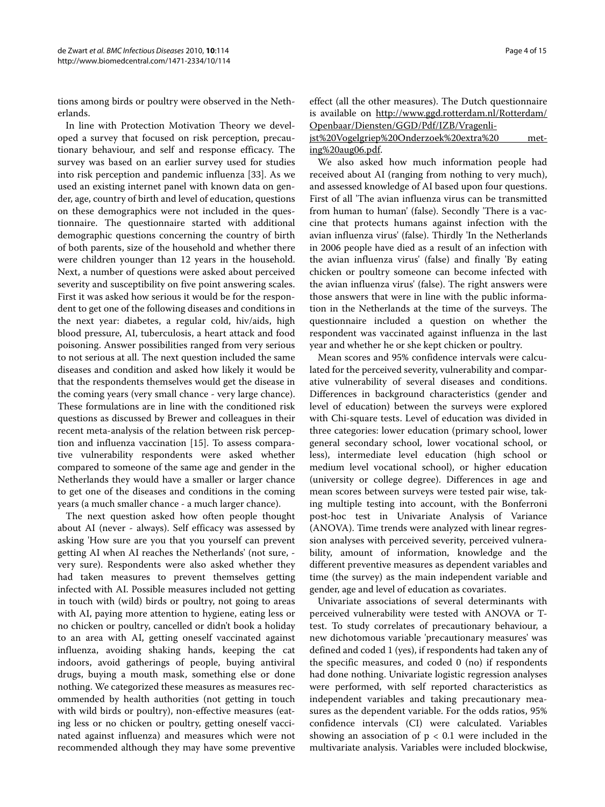tions among birds or poultry were observed in the Netherlands.

In line with Protection Motivation Theory we developed a survey that focused on risk perception, precautionary behaviour, and self and response efficacy. The survey was based on an earlier survey used for studies into risk perception and pandemic influenza [\[33\]](#page-13-32). As we used an existing internet panel with known data on gender, age, country of birth and level of education, questions on these demographics were not included in the questionnaire. The questionnaire started with additional demographic questions concerning the country of birth of both parents, size of the household and whether there were children younger than 12 years in the household. Next, a number of questions were asked about perceived severity and susceptibility on five point answering scales. First it was asked how serious it would be for the respondent to get one of the following diseases and conditions in the next year: diabetes, a regular cold, hiv/aids, high blood pressure, AI, tuberculosis, a heart attack and food poisoning. Answer possibilities ranged from very serious to not serious at all. The next question included the same diseases and condition and asked how likely it would be that the respondents themselves would get the disease in the coming years (very small chance - very large chance). These formulations are in line with the conditioned risk questions as discussed by Brewer and colleagues in their recent meta-analysis of the relation between risk perception and influenza vaccination [\[15](#page-13-14)]. To assess comparative vulnerability respondents were asked whether compared to someone of the same age and gender in the Netherlands they would have a smaller or larger chance to get one of the diseases and conditions in the coming years (a much smaller chance - a much larger chance).

The next question asked how often people thought about AI (never - always). Self efficacy was assessed by asking 'How sure are you that you yourself can prevent getting AI when AI reaches the Netherlands' (not sure, very sure). Respondents were also asked whether they had taken measures to prevent themselves getting infected with AI. Possible measures included not getting in touch with (wild) birds or poultry, not going to areas with AI, paying more attention to hygiene, eating less or no chicken or poultry, cancelled or didn't book a holiday to an area with AI, getting oneself vaccinated against influenza, avoiding shaking hands, keeping the cat indoors, avoid gatherings of people, buying antiviral drugs, buying a mouth mask, something else or done nothing. We categorized these measures as measures recommended by health authorities (not getting in touch with wild birds or poultry), non-effective measures (eating less or no chicken or poultry, getting oneself vaccinated against influenza) and measures which were not recommended although they may have some preventive

effect (all the other measures). The Dutch questionnaire is available on [http://www.ggd.rotterdam.nl/Rotterdam/](http://www.ggd.rotterdam.nl/Rotterdam/Openbaar/Diensten/GGD/Pdf/IZB/Vragenlijst%20Vogelgriep%20Onderzoek%20extra%20 meting%20aug06.pdf) Openbaar/Diensten/GGD/Pdf/IZB/Vragenli-

# [jst%20Vogelgriep%20Onderzoek%20extra%20 met](http://www.ggd.rotterdam.nl/Rotterdam/Openbaar/Diensten/GGD/Pdf/IZB/Vragenlijst%20Vogelgriep%20Onderzoek%20extra%20 meting%20aug06.pdf)[ing%20aug06.pdf](http://www.ggd.rotterdam.nl/Rotterdam/Openbaar/Diensten/GGD/Pdf/IZB/Vragenlijst%20Vogelgriep%20Onderzoek%20extra%20 meting%20aug06.pdf).

We also asked how much information people had received about AI (ranging from nothing to very much), and assessed knowledge of AI based upon four questions. First of all 'The avian influenza virus can be transmitted from human to human' (false). Secondly 'There is a vaccine that protects humans against infection with the avian influenza virus' (false). Thirdly 'In the Netherlands in 2006 people have died as a result of an infection with the avian influenza virus' (false) and finally 'By eating chicken or poultry someone can become infected with the avian influenza virus' (false). The right answers were those answers that were in line with the public information in the Netherlands at the time of the surveys. The questionnaire included a question on whether the respondent was vaccinated against influenza in the last year and whether he or she kept chicken or poultry.

Mean scores and 95% confidence intervals were calculated for the perceived severity, vulnerability and comparative vulnerability of several diseases and conditions. Differences in background characteristics (gender and level of education) between the surveys were explored with Chi-square tests. Level of education was divided in three categories: lower education (primary school, lower general secondary school, lower vocational school, or less), intermediate level education (high school or medium level vocational school), or higher education (university or college degree). Differences in age and mean scores between surveys were tested pair wise, taking multiple testing into account, with the Bonferroni post-hoc test in Univariate Analysis of Variance (ANOVA). Time trends were analyzed with linear regression analyses with perceived severity, perceived vulnerability, amount of information, knowledge and the different preventive measures as dependent variables and time (the survey) as the main independent variable and gender, age and level of education as covariates.

Univariate associations of several determinants with perceived vulnerability were tested with ANOVA or Ttest. To study correlates of precautionary behaviour, a new dichotomous variable 'precautionary measures' was defined and coded 1 (yes), if respondents had taken any of the specific measures, and coded 0 (no) if respondents had done nothing. Univariate logistic regression analyses were performed, with self reported characteristics as independent variables and taking precautionary measures as the dependent variable. For the odds ratios, 95% confidence intervals (CI) were calculated. Variables showing an association of  $p < 0.1$  were included in the multivariate analysis. Variables were included blockwise,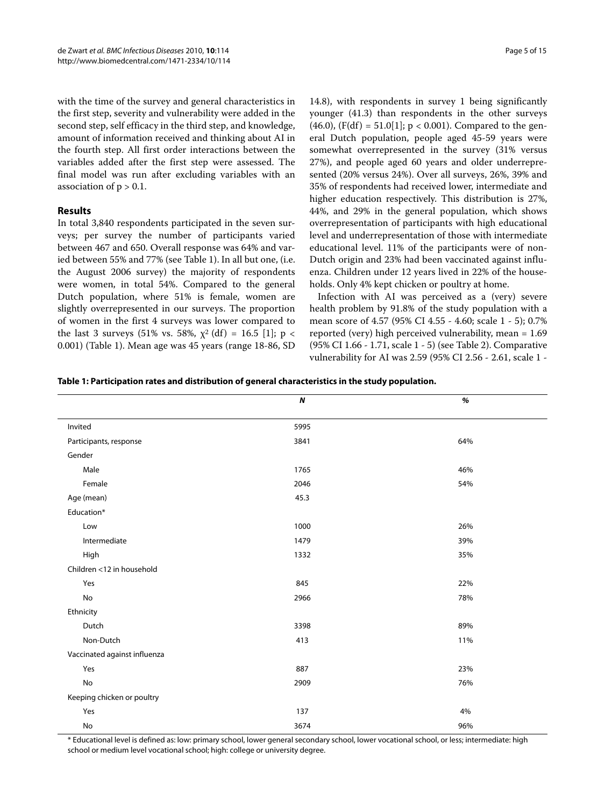with the time of the survey and general characteristics in the first step, severity and vulnerability were added in the second step, self efficacy in the third step, and knowledge, amount of information received and thinking about AI in the fourth step. All first order interactions between the variables added after the first step were assessed. The final model was run after excluding variables with an association of  $p > 0.1$ .

## **Results**

In total 3,840 respondents participated in the seven surveys; per survey the number of participants varied between 467 and 650. Overall response was 64% and varied between 55% and 77% (see Table [1](#page-4-0)). In all but one, (i.e. the August 2006 survey) the majority of respondents were women, in total 54%. Compared to the general Dutch population, where 51% is female, women are slightly overrepresented in our surveys. The proportion of women in the first 4 surveys was lower compared to the last 3 surveys (5[1](#page-13-0)% vs. 58%,  $\chi^2$  (df) = 16.5 [1]; p < 0.001) (Table [1](#page-4-0)). Mean age was 45 years (range 18-86, SD

14.8), with respondents in survey 1 being significantly younger (41.3) than respondents in the other surveys  $(46.0)$ ,  $(F(df) = 51.0[1]$  $(F(df) = 51.0[1]$  $(F(df) = 51.0[1]$ ;  $p < 0.001$ ). Compared to the general Dutch population, people aged 45-59 years were somewhat overrepresented in the survey (31% versus 27%), and people aged 60 years and older underrepresented (20% versus 24%). Over all surveys, 26%, 39% and 35% of respondents had received lower, intermediate and higher education respectively. This distribution is 27%, 44%, and 29% in the general population, which shows overrepresentation of participants with high educational level and underrepresentation of those with intermediate educational level. 11% of the participants were of non-Dutch origin and 23% had been vaccinated against influenza. Children under 12 years lived in 22% of the households. Only 4% kept chicken or poultry at home.

Infection with AI was perceived as a (very) severe health problem by 91.8% of the study population with a mean score of 4.57 (95% CI 4.55 - 4.60; scale 1 - 5); 0.7% reported (very) high perceived vulnerability, mean = 1.69 (95% CI 1.66 - 1.71, scale 1 - 5) (see Table 2). Comparative vulnerability for AI was 2.59 (95% CI 2.56 - 2.61, scale 1 -

<span id="page-4-0"></span>**Table 1: Participation rates and distribution of general characteristics in the study population.**

|                              | N    | %   |
|------------------------------|------|-----|
|                              |      |     |
| Invited                      | 5995 |     |
| Participants, response       | 3841 | 64% |
| Gender                       |      |     |
| Male                         | 1765 | 46% |
| Female                       | 2046 | 54% |
| Age (mean)                   | 45.3 |     |
| Education*                   |      |     |
| Low                          | 1000 | 26% |
| Intermediate                 | 1479 | 39% |
| High                         | 1332 | 35% |
| Children <12 in household    |      |     |
| Yes                          | 845  | 22% |
| No                           | 2966 | 78% |
| Ethnicity                    |      |     |
| Dutch                        | 3398 | 89% |
| Non-Dutch                    | 413  | 11% |
| Vaccinated against influenza |      |     |
| Yes                          | 887  | 23% |
| No                           | 2909 | 76% |
| Keeping chicken or poultry   |      |     |
| Yes                          | 137  | 4%  |
| No                           | 3674 | 96% |

\* Educational level is defined as: low: primary school, lower general secondary school, lower vocational school, or less; intermediate: high school or medium level vocational school; high: college or university degree.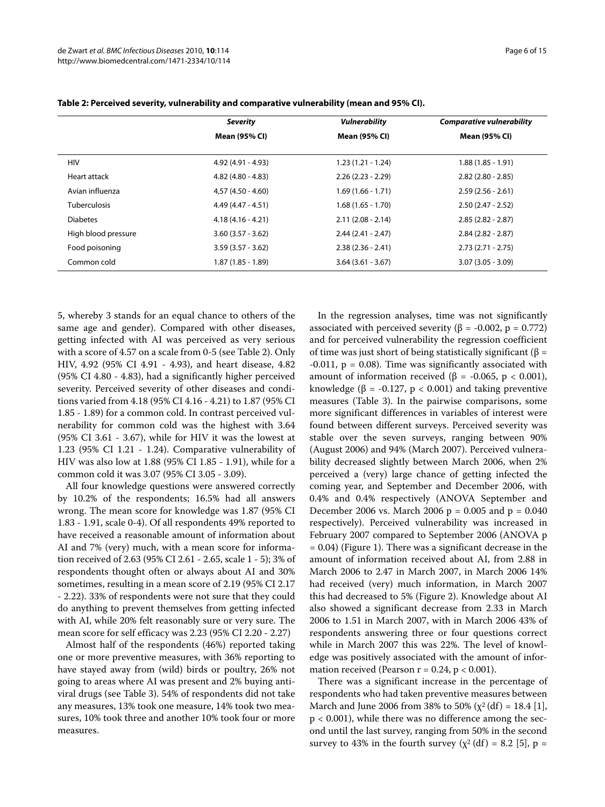Page 6 of 15

|                     | <b>Severity</b>     | <b>Vulnerability</b> | <b>Comparative vulnerability</b> |
|---------------------|---------------------|----------------------|----------------------------------|
|                     | Mean (95% CI)       | Mean (95% CI)        | Mean (95% CI)                    |
| <b>HIV</b>          | $4.92(4.91 - 4.93)$ | $1.23(1.21 - 1.24)$  | $1.88(1.85 - 1.91)$              |
| Heart attack        | $4.82(4.80 - 4.83)$ | $2.26(2.23 - 2.29)$  | $2.82(2.80 - 2.85)$              |
| Avian influenza     | $4.57(4.50 - 4.60)$ | $1.69(1.66 - 1.71)$  | $2.59(2.56 - 2.61)$              |
| <b>Tuberculosis</b> | $4.49(4.47 - 4.51)$ | $1.68(1.65 - 1.70)$  | $2.50(2.47 - 2.52)$              |
| <b>Diabetes</b>     | $4.18(4.16 - 4.21)$ | $2.11(2.08 - 2.14)$  | $2.85(2.82 - 2.87)$              |
| High blood pressure | $3.60(3.57 - 3.62)$ | $2.44(2.41 - 2.47)$  | $2.84(2.82 - 2.87)$              |
| Food poisoning      | $3.59(3.57 - 3.62)$ | $2.38(2.36 - 2.41)$  | $2.73(2.71 - 2.75)$              |
| Common cold         | $1.87(1.85 - 1.89)$ | $3.64(3.61 - 3.67)$  | $3.07(3.05 - 3.09)$              |

5, whereby 3 stands for an equal chance to others of the same age and gender). Compared with other diseases, getting infected with AI was perceived as very serious with a score of 4.57 on a scale from 0-5 (see Table 2). Only HIV, 4.92 (95% CI 4.91 - 4.93), and heart disease, 4.82 (95% CI 4.80 - 4.83), had a significantly higher perceived severity. Perceived severity of other diseases and conditions varied from 4.18 (95% CI 4.16 - 4.21) to 1.87 (95% CI 1.85 - 1.89) for a common cold. In contrast perceived vulnerability for common cold was the highest with 3.64 (95% CI 3.61 - 3.67), while for HIV it was the lowest at 1.23 (95% CI 1.21 - 1.24). Comparative vulnerability of HIV was also low at 1.88 (95% CI 1.85 - 1.91), while for a common cold it was 3.07 (95% CI 3.05 - 3.09).

All four knowledge questions were answered correctly by 10.2% of the respondents; 16.5% had all answers wrong. The mean score for knowledge was 1.87 (95% CI 1.83 - 1.91, scale 0-4). Of all respondents 49% reported to have received a reasonable amount of information about AI and 7% (very) much, with a mean score for information received of 2.63 (95% CI 2.61 - 2.65, scale 1 - 5); 3% of respondents thought often or always about AI and 30% sometimes, resulting in a mean score of 2.19 (95% CI 2.17 - 2.22). 33% of respondents were not sure that they could do anything to prevent themselves from getting infected with AI, while 20% felt reasonably sure or very sure. The mean score for self efficacy was 2.23 (95% CI 2.20 - 2.27)

Almost half of the respondents (46%) reported taking one or more preventive measures, with 36% reporting to have stayed away from (wild) birds or poultry, 26% not going to areas where AI was present and 2% buying antiviral drugs (see Table 3). 54% of respondents did not take any measures, 13% took one measure, 14% took two measures, 10% took three and another 10% took four or more measures.

In the regression analyses, time was not significantly associated with perceived severity ( $\beta$  = -0.002, p = 0.772) and for perceived vulnerability the regression coefficient of time was just short of being statistically significant ( $\beta$  =  $-0.011$ ,  $p = 0.08$ ). Time was significantly associated with amount of information received (β = -0.065, p < 0.001), knowledge ( $\beta$  = -0.127,  $p < 0.001$ ) and taking preventive measures (Table [3](#page-6-0)). In the pairwise comparisons, some more significant differences in variables of interest were found between different surveys. Perceived severity was stable over the seven surveys, ranging between 90% (August 2006) and 94% (March 2007). Perceived vulnerability decreased slightly between March 2006, when 2% perceived a (very) large chance of getting infected the coming year, and September and December 2006, with 0.4% and 0.4% respectively (ANOVA September and December 2006 vs. March 2006  $p = 0.005$  and  $p = 0.040$ respectively). Perceived vulnerability was increased in February 2007 compared to September 2006 (ANOVA p = 0.04) (Figure [1](#page-6-1)). There was a significant decrease in the amount of information received about AI, from 2.88 in March 2006 to 2.47 in March 2007, in March 2006 14% had received (very) much information, in March 2007 this had decreased to 5% (Figure [2\)](#page-6-2). Knowledge about AI also showed a significant decrease from 2.33 in March 2006 to 1.51 in March 2007, with in March 2006 43% of respondents answering three or four questions correct while in March 2007 this was 22%. The level of knowledge was positively associated with the amount of information received (Pearson  $r = 0.24$ ,  $p < 0.001$ ).

There was a significant increase in the percentage of respondents who had taken preventive measures between March and June 2006 from 38% to 50% ( $\chi^2$  (df) = 18.4 [\[1](#page-13-0)], p < 0.001), while there was no difference among the second until the last survey, ranging from 50% in the second survey to 43% in the fourth survey ( $\chi^2$  (df) = 8.2 [\[5\]](#page-13-4), p =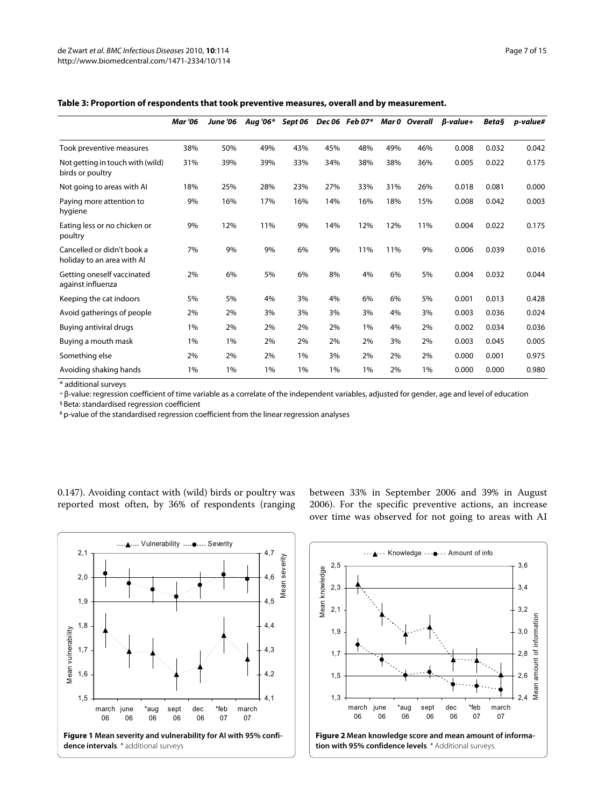|                                                          | <b>Mar</b> '06 | <b>June '06</b> | Aug '06* | Sept 06 |     | Dec 06 Feb 07* | Mar 0 | Overall | $\beta$ -value+ | <b>Beta§</b> | p-value# |
|----------------------------------------------------------|----------------|-----------------|----------|---------|-----|----------------|-------|---------|-----------------|--------------|----------|
| Took preventive measures                                 | 38%            | 50%             | 49%      | 43%     | 45% | 48%            | 49%   | 46%     | 0.008           | 0.032        | 0.042    |
| Not getting in touch with (wild)<br>birds or poultry     | 31%            | 39%             | 39%      | 33%     | 34% | 38%            | 38%   | 36%     | 0.005           | 0.022        | 0.175    |
| Not going to areas with Al                               | 18%            | 25%             | 28%      | 23%     | 27% | 33%            | 31%   | 26%     | 0.018           | 0.081        | 0.000    |
| Paying more attention to<br>hygiene                      | 9%             | 16%             | 17%      | 16%     | 14% | 16%            | 18%   | 15%     | 0.008           | 0.042        | 0.003    |
| Eating less or no chicken or<br>poultry                  | 9%             | 12%             | 11%      | 9%      | 14% | 12%            | 12%   | 11%     | 0.004           | 0.022        | 0.175    |
| Cancelled or didn't book a<br>holiday to an area with Al | 7%             | 9%              | 9%       | 6%      | 9%  | 11%            | 11%   | 9%      | 0.006           | 0.039        | 0.016    |
| Getting oneself vaccinated<br>against influenza          | 2%             | 6%              | 5%       | 6%      | 8%  | 4%             | 6%    | 5%      | 0.004           | 0.032        | 0.044    |
| Keeping the cat indoors                                  | 5%             | 5%              | 4%       | 3%      | 4%  | 6%             | 6%    | 5%      | 0.001           | 0.013        | 0.428    |
| Avoid gatherings of people                               | 2%             | 2%              | 3%       | 3%      | 3%  | 3%             | 4%    | 3%      | 0.003           | 0.036        | 0.024    |
| Buying antiviral drugs                                   | 1%             | 2%              | 2%       | 2%      | 2%  | 1%             | 4%    | 2%      | 0.002           | 0.034        | 0.036    |
| Buying a mouth mask                                      | 1%             | 1%              | 2%       | 2%      | 2%  | 2%             | 3%    | 2%      | 0.003           | 0.045        | 0.005    |
| Something else                                           | 2%             | 2%              | 2%       | 1%      | 3%  | 2%             | 2%    | 2%      | 0.000           | 0.001        | 0.975    |
| Avoiding shaking hands                                   | 1%             | 1%              | 1%       | 1%      | 1%  | 1%             | 2%    | 1%      | 0.000           | 0.000        | 0.980    |

#### <span id="page-6-0"></span>**Table 3: Proportion of respondents that took preventive measures, overall and by measurement.**

\* additional surveys

+ β-value: regression coefficient of time variable as a correlate of the independent variables, adjusted for gender, age and level of education

§ Beta: standardised regression coefficient

# p-value of the standardised regression coefficient from the linear regression analyses

0.147). Avoiding contact with (wild) birds or poultry was reported most often, by 36% of respondents (ranging between 33% in September 2006 and 39% in August 2006). For the specific preventive actions, an increase over time was observed for not going to areas with AI

<span id="page-6-1"></span>

<span id="page-6-2"></span>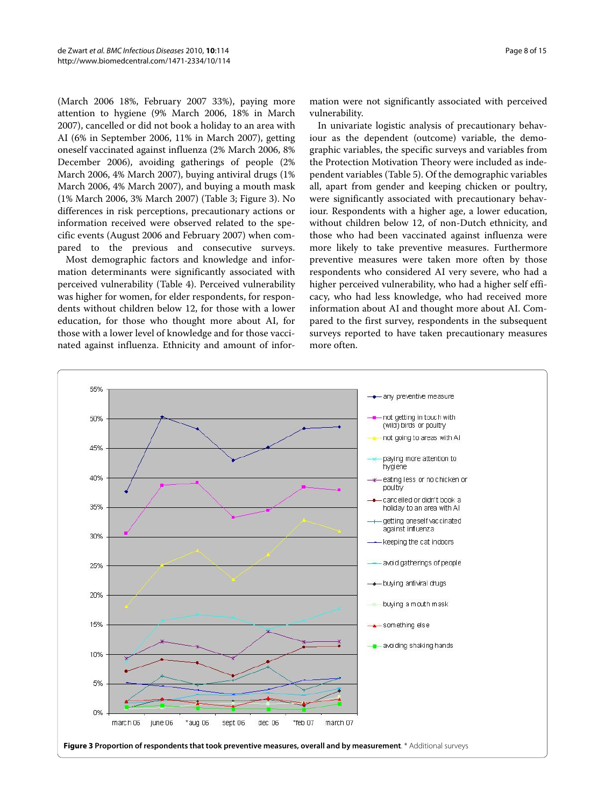(March 2006 18%, February 2007 33%), paying more attention to hygiene (9% March 2006, 18% in March 2007), cancelled or did not book a holiday to an area with AI (6% in September 2006, 11% in March 2007), getting oneself vaccinated against influenza (2% March 2006, 8% December 2006), avoiding gatherings of people (2% March 2006, 4% March 2007), buying antiviral drugs (1% March 2006, 4% March 2007), and buying a mouth mask (1% March 2006, 3% March 2007) (Table [3](#page-6-0); Figure [3\)](#page-7-0). No differences in risk perceptions, precautionary actions or information received were observed related to the specific events (August 2006 and February 2007) when compared to the previous and consecutive surveys.

Most demographic factors and knowledge and information determinants were significantly associated with perceived vulnerability (Table 4). Perceived vulnerability was higher for women, for elder respondents, for respondents without children below 12, for those with a lower education, for those who thought more about AI, for those with a lower level of knowledge and for those vaccinated against influenza. Ethnicity and amount of infor-

mation were not significantly associated with perceived vulnerability.

In univariate logistic analysis of precautionary behaviour as the dependent (outcome) variable, the demographic variables, the specific surveys and variables from the Protection Motivation Theory were included as independent variables (Table 5). Of the demographic variables all, apart from gender and keeping chicken or poultry, were significantly associated with precautionary behaviour. Respondents with a higher age, a lower education, without children below 12, of non-Dutch ethnicity, and those who had been vaccinated against influenza were more likely to take preventive measures. Furthermore preventive measures were taken more often by those respondents who considered AI very severe, who had a higher perceived vulnerability, who had a higher self efficacy, who had less knowledge, who had received more information about AI and thought more about AI. Compared to the first survey, respondents in the subsequent surveys reported to have taken precautionary measures more often.

<span id="page-7-0"></span>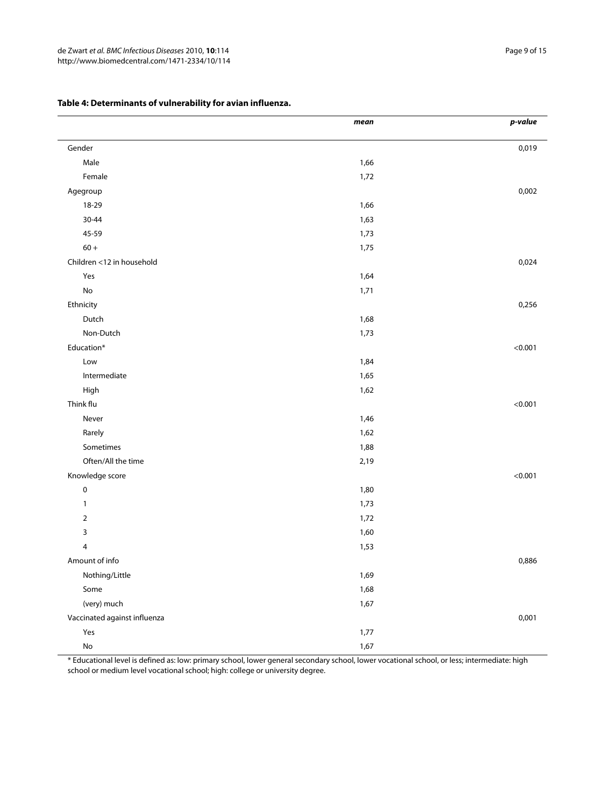|                              | mean | p-value |
|------------------------------|------|---------|
| Gender                       |      | 0,019   |
| Male                         | 1,66 |         |
| Female                       | 1,72 |         |
| Agegroup                     |      | 0,002   |
| 18-29                        | 1,66 |         |
| 30-44                        | 1,63 |         |
| 45-59                        | 1,73 |         |
| $60 +$                       | 1,75 |         |
| Children <12 in household    |      | 0,024   |
| Yes                          | 1,64 |         |
| $\operatorname{\mathsf{No}}$ | 1,71 |         |
| Ethnicity                    |      | 0,256   |
| Dutch                        | 1,68 |         |
| Non-Dutch                    | 1,73 |         |
| Education*                   |      | < 0.001 |
| Low                          | 1,84 |         |
| Intermediate                 | 1,65 |         |
| High                         | 1,62 |         |
| Think flu                    |      | < 0.001 |
| Never                        | 1,46 |         |
| Rarely                       | 1,62 |         |
| Sometimes                    | 1,88 |         |
| Often/All the time           | 2,19 |         |
| Knowledge score              |      | < 0.001 |
| $\pmb{0}$                    | 1,80 |         |
| 1                            | 1,73 |         |
| $\overline{2}$               | 1,72 |         |
| 3                            | 1,60 |         |
| 4                            | 1,53 |         |
| Amount of info               |      | 0,886   |
| Nothing/Little               | 1,69 |         |
| Some                         | 1,68 |         |
| (very) much                  | 1,67 |         |
| Vaccinated against influenza |      | 0,001   |
| Yes                          | 1,77 |         |
| No                           | 1,67 |         |

# **Table 4: Determinants of vulnerability for avian influenza.**

\* Educational level is defined as: low: primary school, lower general secondary school, lower vocational school, or less; intermediate: high school or medium level vocational school; high: college or university degree.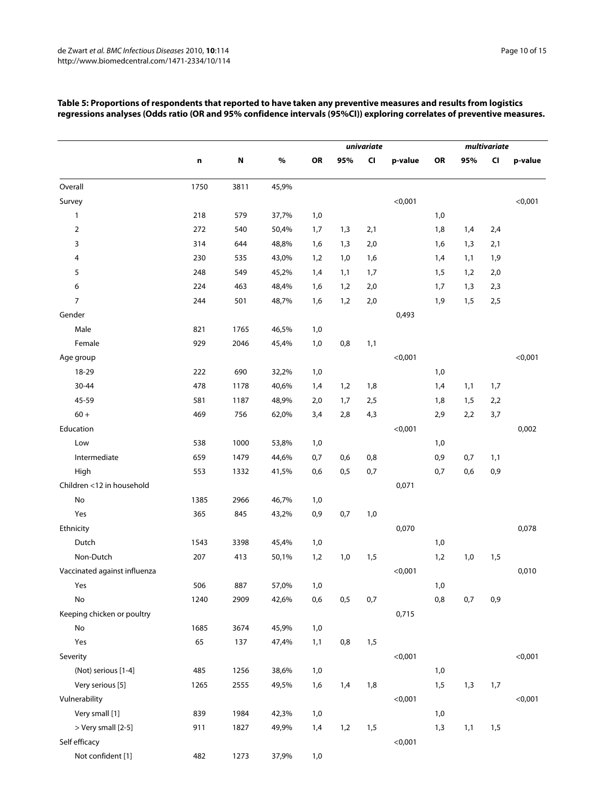|                              | univariate |      |       |       |     |       |           | multivariate |     |           |           |  |
|------------------------------|------------|------|-------|-------|-----|-------|-----------|--------------|-----|-----------|-----------|--|
|                              | n          | N    | $\%$  | OR    | 95% | CI    | p-value   | OR           | 95% | <b>CI</b> | p-value   |  |
| Overall                      | 1750       | 3811 | 45,9% |       |     |       |           |              |     |           |           |  |
| Survey                       |            |      |       |       |     |       | < 0,001   |              |     |           | < 0,001   |  |
| $\mathbf{1}$                 | 218        | 579  | 37,7% | 1,0   |     |       |           | 1,0          |     |           |           |  |
| $\overline{2}$               | 272        | 540  | 50,4% | 1,7   | 1,3 | 2,1   |           | 1,8          | 1,4 | 2,4       |           |  |
| 3                            | 314        | 644  | 48,8% | 1,6   | 1,3 | 2,0   |           | 1,6          | 1,3 | 2,1       |           |  |
| 4                            | 230        | 535  | 43,0% | 1,2   | 1,0 | 1,6   |           | 1,4          | 1,1 | 1,9       |           |  |
| 5                            | 248        | 549  | 45,2% | 1,4   | 1,1 | 1,7   |           | 1,5          | 1,2 | $2,0$     |           |  |
| 6                            | 224        | 463  | 48,4% | 1,6   | 1,2 | 2,0   |           | 1,7          | 1,3 | 2,3       |           |  |
| $\overline{7}$               | 244        | 501  | 48,7% | 1,6   | 1,2 | 2,0   |           | 1,9          | 1,5 | 2,5       |           |  |
| Gender                       |            |      |       |       |     |       | 0,493     |              |     |           |           |  |
| Male                         | 821        | 1765 | 46,5% | 1,0   |     |       |           |              |     |           |           |  |
| Female                       | 929        | 2046 | 45,4% | 1,0   | 0,8 | 1,1   |           |              |     |           |           |  |
| Age group                    |            |      |       |       |     |       | < 0,001   |              |     |           | < 0,001   |  |
| 18-29                        | 222        | 690  | 32,2% | 1,0   |     |       |           | 1,0          |     |           |           |  |
| 30-44                        | 478        | 1178 | 40,6% | 1,4   | 1,2 | 1,8   |           | 1,4          | 1,1 | 1,7       |           |  |
| 45-59                        | 581        | 1187 | 48,9% | 2,0   | 1,7 | 2,5   |           | 1,8          | 1,5 | 2,2       |           |  |
| $60 +$                       | 469        | 756  | 62,0% | 3,4   | 2,8 | 4,3   |           | 2,9          | 2,2 | 3,7       |           |  |
| Education                    |            |      |       |       |     |       | $<$ 0,001 |              |     |           | 0,002     |  |
| Low                          | 538        | 1000 | 53,8% | 1,0   |     |       |           | 1,0          |     |           |           |  |
| Intermediate                 | 659        | 1479 | 44,6% | 0,7   | 0,6 | 0,8   |           | 0,9          | 0,7 | 1,1       |           |  |
| High                         | 553        | 1332 | 41,5% | 0,6   | 0,5 | 0,7   |           | 0,7          | 0,6 | 0,9       |           |  |
| Children <12 in household    |            |      |       |       |     |       | 0,071     |              |     |           |           |  |
| No                           | 1385       | 2966 | 46,7% | 1,0   |     |       |           |              |     |           |           |  |
| Yes                          | 365        | 845  | 43,2% | 0,9   | 0,7 | 1,0   |           |              |     |           |           |  |
| Ethnicity                    |            |      |       |       |     |       | 0,070     |              |     |           | 0,078     |  |
| Dutch                        | 1543       | 3398 | 45,4% | 1,0   |     |       |           | 1,0          |     |           |           |  |
| Non-Dutch                    | 207        | 413  | 50,1% | 1,2   | 1,0 | 1,5   |           | 1,2          | 1,0 | 1,5       |           |  |
| Vaccinated against influenza |            |      |       |       |     |       | $<$ 0,001 |              |     |           | 0,010     |  |
| Yes                          | 506        | 887  | 57,0% | 1,0   |     |       |           | 1,0          |     |           |           |  |
| No                           | 1240       | 2909 | 42,6% | 0,6   | 0,5 | $0,7$ |           | 0,8          | 0,7 | 0,9       |           |  |
| Keeping chicken or poultry   |            |      |       |       |     |       | 0,715     |              |     |           |           |  |
| No                           | 1685       | 3674 | 45,9% | 1,0   |     |       |           |              |     |           |           |  |
| Yes                          | 65         | 137  | 47,4% | 1,1   | 0,8 | 1,5   |           |              |     |           |           |  |
| Severity                     |            |      |       |       |     |       | < 0,001   |              |     |           | < 0,001   |  |
| (Not) serious [1-4]          | 485        | 1256 | 38,6% | 1,0   |     |       |           | 1,0          |     |           |           |  |
| Very serious [5]             | 1265       | 2555 | 49,5% | 1,6   | 1,4 | 1,8   |           | 1,5          | 1,3 | 1,7       |           |  |
| Vulnerability                |            |      |       |       |     |       | < 0,001   |              |     |           | $<$ 0,001 |  |
| Very small [1]               | 839        | 1984 | 42,3% | 1,0   |     |       |           | 1,0          |     |           |           |  |
| > Very small [2-5]           | 911        | 1827 | 49,9% | 1,4   | 1,2 | 1,5   |           | 1,3          | 1,1 | 1,5       |           |  |
| Self efficacy                |            |      |       |       |     |       | < 0,001   |              |     |           |           |  |
| Not confident [1]            | 482        | 1273 | 37,9% | $1,0$ |     |       |           |              |     |           |           |  |

# <span id="page-9-0"></span>**Table 5: Proportions of respondents that reported to have taken any preventive measures and results from logistics regressions analyses (Odds ratio (OR and 95% confidence intervals (95%CI)) exploring correlates of preventive measures.**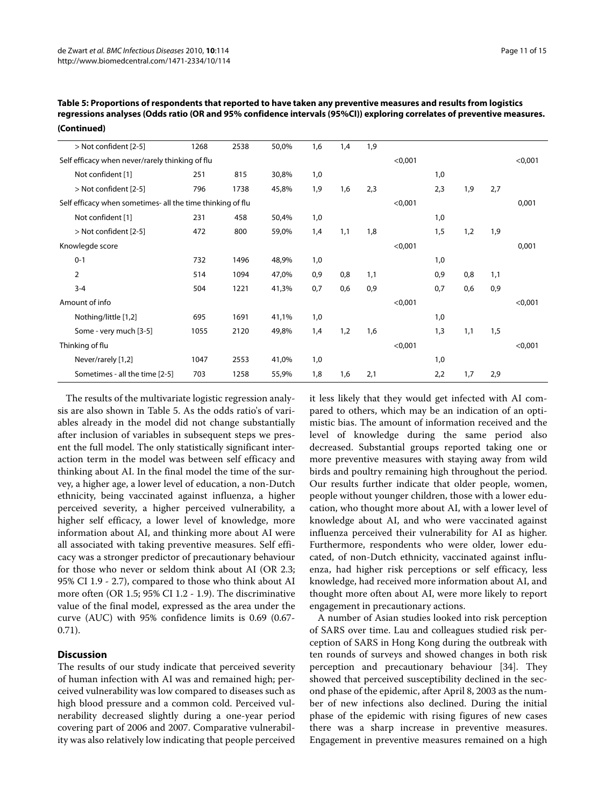| > Not confident [2-5]                                      | 1268 | 2538 | 50,0% | 1,6 | 1,4 | 1,9 |         |     |     |     |           |
|------------------------------------------------------------|------|------|-------|-----|-----|-----|---------|-----|-----|-----|-----------|
| Self efficacy when never/rarely thinking of flu            |      |      |       |     |     |     | < 0,001 |     |     |     | < 0,001   |
| Not confident [1]                                          | 251  | 815  | 30,8% | 1,0 |     |     |         | 1,0 |     |     |           |
| > Not confident [2-5]                                      | 796  | 1738 | 45,8% | 1,9 | 1,6 | 2,3 |         | 2,3 | 1,9 | 2,7 |           |
| Self efficacy when sometimes- all the time thinking of flu |      |      |       |     |     |     | < 0,001 |     |     |     | 0,001     |
| Not confident [1]                                          | 231  | 458  | 50,4% | 1,0 |     |     |         | 1,0 |     |     |           |
| > Not confident [2-5]                                      | 472  | 800  | 59,0% | 1,4 | 1,1 | 1,8 |         | 1,5 | 1,2 | 1,9 |           |
| Knowlegde score                                            |      |      |       |     |     |     | < 0,001 |     |     |     | 0,001     |
| $0 - 1$                                                    | 732  | 1496 | 48,9% | 1,0 |     |     |         | 1,0 |     |     |           |
| $\overline{2}$                                             | 514  | 1094 | 47,0% | 0,9 | 0,8 | 1,1 |         | 0,9 | 0,8 | 1,1 |           |
| $3 - 4$                                                    | 504  | 1221 | 41,3% | 0,7 | 0,6 | 0,9 |         | 0,7 | 0,6 | 0,9 |           |
| Amount of info                                             |      |      |       |     |     |     | < 0,001 |     |     |     | $<$ 0,001 |
| Nothing/little [1,2]                                       | 695  | 1691 | 41,1% | 1,0 |     |     |         | 1,0 |     |     |           |
| Some - very much [3-5]                                     | 1055 | 2120 | 49,8% | 1,4 | 1,2 | 1,6 |         | 1,3 | 1,1 | 1,5 |           |
| Thinking of flu                                            |      |      |       |     |     |     | < 0,001 |     |     |     | < 0,001   |
| Never/rarely [1,2]                                         | 1047 | 2553 | 41,0% | 1,0 |     |     |         | 1,0 |     |     |           |
| Sometimes - all the time [2-5]                             | 703  | 1258 | 55,9% | 1,8 | 1,6 | 2,1 |         | 2,2 | 1,7 | 2,9 |           |

**Table 5: Proportions of respondents that reported to have taken any preventive measures and results from logistics regressions analyses (Odds ratio (OR and 95% confidence intervals (95%CI)) exploring correlates of preventive measures. (Continued)**

The results of the multivariate logistic regression analysis are also shown in Table [5](#page-9-0). As the odds ratio's of variables already in the model did not change substantially after inclusion of variables in subsequent steps we present the full model. The only statistically significant interaction term in the model was between self efficacy and thinking about AI. In the final model the time of the survey, a higher age, a lower level of education, a non-Dutch ethnicity, being vaccinated against influenza, a higher perceived severity, a higher perceived vulnerability, a higher self efficacy, a lower level of knowledge, more information about AI, and thinking more about AI were all associated with taking preventive measures. Self efficacy was a stronger predictor of precautionary behaviour for those who never or seldom think about AI (OR 2.3; 95% CI 1.9 - 2.7), compared to those who think about AI more often (OR 1.5; 95% CI 1.2 - 1.9). The discriminative value of the final model, expressed as the area under the curve (AUC) with 95% confidence limits is 0.69 (0.67- 0.71).

# **Discussion**

The results of our study indicate that perceived severity of human infection with AI was and remained high; perceived vulnerability was low compared to diseases such as high blood pressure and a common cold. Perceived vulnerability decreased slightly during a one-year period covering part of 2006 and 2007. Comparative vulnerability was also relatively low indicating that people perceived it less likely that they would get infected with AI compared to others, which may be an indication of an optimistic bias. The amount of information received and the level of knowledge during the same period also decreased. Substantial groups reported taking one or more preventive measures with staying away from wild birds and poultry remaining high throughout the period. Our results further indicate that older people, women, people without younger children, those with a lower education, who thought more about AI, with a lower level of knowledge about AI, and who were vaccinated against influenza perceived their vulnerability for AI as higher. Furthermore, respondents who were older, lower educated, of non-Dutch ethnicity, vaccinated against influenza, had higher risk perceptions or self efficacy, less knowledge, had received more information about AI, and thought more often about AI, were more likely to report engagement in precautionary actions.

A number of Asian studies looked into risk perception of SARS over time. Lau and colleagues studied risk perception of SARS in Hong Kong during the outbreak with ten rounds of surveys and showed changes in both risk perception and precautionary behaviour [[34\]](#page-13-30). They showed that perceived susceptibility declined in the second phase of the epidemic, after April 8, 2003 as the number of new infections also declined. During the initial phase of the epidemic with rising figures of new cases there was a sharp increase in preventive measures. Engagement in preventive measures remained on a high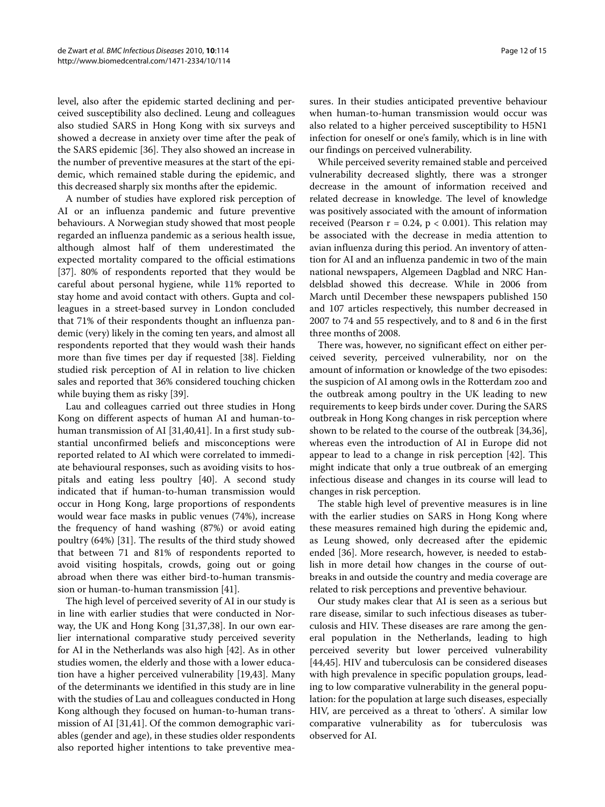level, also after the epidemic started declining and perceived susceptibility also declined. Leung and colleagues also studied SARS in Hong Kong with six surveys and showed a decrease in anxiety over time after the peak of the SARS epidemic [[36\]](#page-13-33). They also showed an increase in the number of preventive measures at the start of the epidemic, which remained stable during the epidemic, and this decreased sharply six months after the epidemic.

A number of studies have explored risk perception of AI or an influenza pandemic and future preventive behaviours. A Norwegian study showed that most people regarded an influenza pandemic as a serious health issue, although almost half of them underestimated the expected mortality compared to the official estimations [[37\]](#page-13-34). 80% of respondents reported that they would be careful about personal hygiene, while 11% reported to stay home and avoid contact with others. Gupta and colleagues in a street-based survey in London concluded that 71% of their respondents thought an influenza pandemic (very) likely in the coming ten years, and almost all respondents reported that they would wash their hands more than five times per day if requested [\[38\]](#page-13-35). Fielding studied risk perception of AI in relation to live chicken sales and reported that 36% considered touching chicken while buying them as risky [[39](#page-13-36)].

Lau and colleagues carried out three studies in Hong Kong on different aspects of human AI and human-tohuman transmission of AI [\[31](#page-13-28)[,40](#page-13-37)[,41](#page-13-38)]. In a first study substantial unconfirmed beliefs and misconceptions were reported related to AI which were correlated to immediate behavioural responses, such as avoiding visits to hospitals and eating less poultry [[40](#page-13-37)]. A second study indicated that if human-to-human transmission would occur in Hong Kong, large proportions of respondents would wear face masks in public venues (74%), increase the frequency of hand washing (87%) or avoid eating poultry (64%) [[31](#page-13-28)]. The results of the third study showed that between 71 and 81% of respondents reported to avoid visiting hospitals, crowds, going out or going abroad when there was either bird-to-human transmission or human-to-human transmission [[41\]](#page-13-38).

The high level of perceived severity of AI in our study is in line with earlier studies that were conducted in Norway, the UK and Hong Kong [\[31](#page-13-28)[,37](#page-13-34),[38](#page-13-35)]. In our own earlier international comparative study perceived severity for AI in the Netherlands was also high [[42\]](#page-13-39). As in other studies women, the elderly and those with a lower education have a higher perceived vulnerability [\[19](#page-13-40),[43](#page-13-41)]. Many of the determinants we identified in this study are in line with the studies of Lau and colleagues conducted in Hong Kong although they focused on human-to-human transmission of AI [\[31](#page-13-28),[41](#page-13-38)]. Of the common demographic variables (gender and age), in these studies older respondents also reported higher intentions to take preventive mea-

sures. In their studies anticipated preventive behaviour when human-to-human transmission would occur was also related to a higher perceived susceptibility to H5N1 infection for oneself or one's family, which is in line with our findings on perceived vulnerability.

While perceived severity remained stable and perceived vulnerability decreased slightly, there was a stronger decrease in the amount of information received and related decrease in knowledge. The level of knowledge was positively associated with the amount of information received (Pearson  $r = 0.24$ ,  $p < 0.001$ ). This relation may be associated with the decrease in media attention to avian influenza during this period. An inventory of attention for AI and an influenza pandemic in two of the main national newspapers, Algemeen Dagblad and NRC Handelsblad showed this decrease. While in 2006 from March until December these newspapers published 150 and 107 articles respectively, this number decreased in 2007 to 74 and 55 respectively, and to 8 and 6 in the first three months of 2008.

There was, however, no significant effect on either perceived severity, perceived vulnerability, nor on the amount of information or knowledge of the two episodes: the suspicion of AI among owls in the Rotterdam zoo and the outbreak among poultry in the UK leading to new requirements to keep birds under cover. During the SARS outbreak in Hong Kong changes in risk perception where shown to be related to the course of the outbreak [\[34](#page-13-30)[,36](#page-13-33)], whereas even the introduction of AI in Europe did not appear to lead to a change in risk perception [[42](#page-13-39)]. This might indicate that only a true outbreak of an emerging infectious disease and changes in its course will lead to changes in risk perception.

The stable high level of preventive measures is in line with the earlier studies on SARS in Hong Kong where these measures remained high during the epidemic and, as Leung showed, only decreased after the epidemic ended [\[36\]](#page-13-33). More research, however, is needed to establish in more detail how changes in the course of outbreaks in and outside the country and media coverage are related to risk perceptions and preventive behaviour.

Our study makes clear that AI is seen as a serious but rare disease, similar to such infectious diseases as tuberculosis and HIV. These diseases are rare among the general population in the Netherlands, leading to high perceived severity but lower perceived vulnerability [[44,](#page-13-42)[45\]](#page-13-43). HIV and tuberculosis can be considered diseases with high prevalence in specific population groups, leading to low comparative vulnerability in the general population: for the population at large such diseases, especially HIV, are perceived as a threat to 'others'. A similar low comparative vulnerability as for tuberculosis was observed for AI.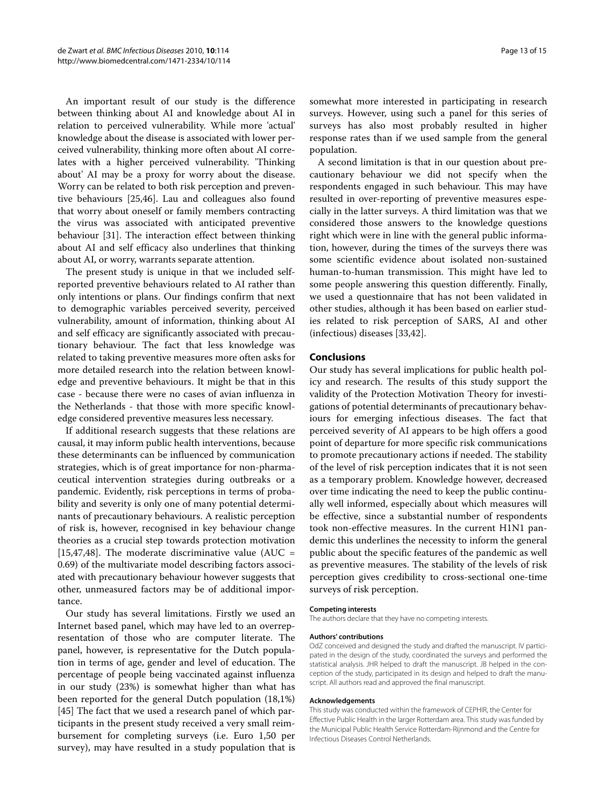An important result of our study is the difference between thinking about AI and knowledge about AI in relation to perceived vulnerability. While more 'actual' knowledge about the disease is associated with lower perceived vulnerability, thinking more often about AI correlates with a higher perceived vulnerability. 'Thinking about' AI may be a proxy for worry about the disease. Worry can be related to both risk perception and preventive behaviours [\[25](#page-13-23)[,46](#page-13-44)]. Lau and colleagues also found that worry about oneself or family members contracting the virus was associated with anticipated preventive behaviour [\[31](#page-13-28)]. The interaction effect between thinking about AI and self efficacy also underlines that thinking about AI, or worry, warrants separate attention.

The present study is unique in that we included selfreported preventive behaviours related to AI rather than only intentions or plans. Our findings confirm that next to demographic variables perceived severity, perceived vulnerability, amount of information, thinking about AI and self efficacy are significantly associated with precautionary behaviour. The fact that less knowledge was related to taking preventive measures more often asks for more detailed research into the relation between knowledge and preventive behaviours. It might be that in this case - because there were no cases of avian influenza in the Netherlands - that those with more specific knowledge considered preventive measures less necessary.

If additional research suggests that these relations are causal, it may inform public health interventions, because these determinants can be influenced by communication strategies, which is of great importance for non-pharmaceutical intervention strategies during outbreaks or a pandemic. Evidently, risk perceptions in terms of probability and severity is only one of many potential determinants of precautionary behaviours. A realistic perception of risk is, however, recognised in key behaviour change theories as a crucial step towards protection motivation [[15,](#page-13-14)[47,](#page-14-0)[48\]](#page-14-1). The moderate discriminative value (AUC = 0.69) of the multivariate model describing factors associated with precautionary behaviour however suggests that other, unmeasured factors may be of additional importance.

Our study has several limitations. Firstly we used an Internet based panel, which may have led to an overrepresentation of those who are computer literate. The panel, however, is representative for the Dutch population in terms of age, gender and level of education. The percentage of people being vaccinated against influenza in our study (23%) is somewhat higher than what has been reported for the general Dutch population (18,1%) [[45\]](#page-13-43) The fact that we used a research panel of which participants in the present study received a very small reimbursement for completing surveys (i.e. Euro 1,50 per survey), may have resulted in a study population that is somewhat more interested in participating in research surveys. However, using such a panel for this series of surveys has also most probably resulted in higher response rates than if we used sample from the general population.

A second limitation is that in our question about precautionary behaviour we did not specify when the respondents engaged in such behaviour. This may have resulted in over-reporting of preventive measures especially in the latter surveys. A third limitation was that we considered those answers to the knowledge questions right which were in line with the general public information, however, during the times of the surveys there was some scientific evidence about isolated non-sustained human-to-human transmission. This might have led to some people answering this question differently. Finally, we used a questionnaire that has not been validated in other studies, although it has been based on earlier studies related to risk perception of SARS, AI and other (infectious) diseases [\[33](#page-13-32)[,42](#page-13-39)].

#### **Conclusions**

Our study has several implications for public health policy and research. The results of this study support the validity of the Protection Motivation Theory for investigations of potential determinants of precautionary behaviours for emerging infectious diseases. The fact that perceived severity of AI appears to be high offers a good point of departure for more specific risk communications to promote precautionary actions if needed. The stability of the level of risk perception indicates that it is not seen as a temporary problem. Knowledge however, decreased over time indicating the need to keep the public continually well informed, especially about which measures will be effective, since a substantial number of respondents took non-effective measures. In the current H1N1 pandemic this underlines the necessity to inform the general public about the specific features of the pandemic as well as preventive measures. The stability of the levels of risk perception gives credibility to cross-sectional one-time surveys of risk perception.

#### **Competing interests**

The authors declare that they have no competing interests.

#### **Authors' contributions**

OdZ conceived and designed the study and drafted the manuscript. IV participated in the design of the study, coordinated the surveys and performed the statistical analysis. JHR helped to draft the manuscript. JB helped in the conception of the study, participated in its design and helped to draft the manuscript. All authors read and approved the final manuscript.

#### **Acknowledgements**

This study was conducted within the framework of CEPHIR, the Center for Effective Public Health in the larger Rotterdam area. This study was funded by the Municipal Public Health Service Rotterdam-Rijnmond and the Centre for Infectious Diseases Control Netherlands.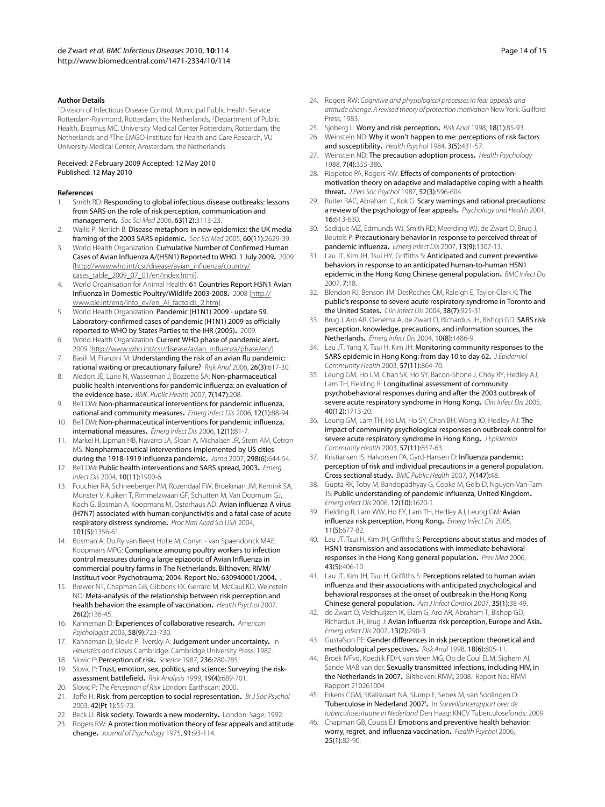#### **Author Details**

1Division of Infectious Disease Control, Municipal Public Health Service Rotterdam-Rijnmond, Rotterdam, the Netherlands, 2Department of Public Health, Erasmus MC, University Medical Center Rotterdam, Rotterdam, the Netherlands and 3The EMGO-Institute for Health and Care Research, VU University Medical Center, Amsterdam, the Netherlands

#### Received: 2 February 2009 Accepted: 12 May 2010 Published: 12 May 2010

#### **References**

- <span id="page-13-0"></span>1. Smith RD: Responding to global infectious disease outbreaks: lessons from SARS on the role of risk perception, communication and management**.** Soc Sci Med 2006, 63(12):3113-23.
- <span id="page-13-1"></span>2. Wallis P, Nerlich B: Disease metaphors in new epidemics: the UK media framing of the 2003 SARS epidemic**[.](http://www.ncbi.nlm.nih.gov/entrez/query.fcgi?cmd=Retrieve&db=PubMed&dopt=Abstract&list_uids=15814187)** Soc Sci Med 2005, 60(11):2629-39.
- <span id="page-13-2"></span>3. World Health Organization: Cumulative Number of Confirmed Human Cases of Avian Influenza A/(H5N1) Reported to WHO. 1 July 2009**.** 2009 [[http://www.who.int/csr/disease/avian\\_influenza/country/](http://www.who.int/csr/disease/avian_influenza/country/cases_table_2009_07_01/en/index.html) [cases\\_table\\_2009\\_07\\_01/en/index.html\]](http://www.who.int/csr/disease/avian_influenza/country/cases_table_2009_07_01/en/index.html).
- <span id="page-13-3"></span>World Organisation for Animal Health: 61 Countries Report H5N1 Avian Influenza in Domestic Poultry/Wildlife 2003-2008**.** 2008 [\[http://](http://www.oie.int/eng/info_ev/en_AI_factoids_2.htm) [www.oie.int/eng/info\\_ev/en\\_AI\\_factoids\\_2.htm\]](http://www.oie.int/eng/info_ev/en_AI_factoids_2.htm).
- <span id="page-13-4"></span>5. World Health Organization: Pandemic (H1N1) 2009 - update 59. Laboratory-confirmed cases of pandemic (H1N1) 2009 as officially reported to WHO by States Parties to the IHR (2005)**.** 2009.
- <span id="page-13-5"></span>6. World Health Organization: Current WHO phase of pandemic alert**.** 2009 [[http://www.who.int/csr/disease/avian\\_influenza/phase/en/](http://www.who.int/csr/disease/avian_influenza/phase/en/)].
- <span id="page-13-6"></span>7. Basili M, Franzini M: Understanding the risk of an avian flu pandemic: rational waiting or precautionary failure? Risk Anal 2006, 26(3):617-30.
- <span id="page-13-7"></span>Aledort JE, Lurie N, Wasserman J, Bozzette SA: Non-pharmaceutical public health interventions for pandemic influenza: an evaluation of the evidence base**.** BMC Public Health 2007, 7(147):208.
- <span id="page-13-8"></span>Bell DM: Non-pharmaceutical interventions for pandemic influenza, national and community measures**.** Emerg Infect Dis 2006, 12(1):88-94.
- <span id="page-13-9"></span>10. Bell DM: Non-pharmaceutical interventions for pandemic influenza, international measures**.** Emerg Infect Dis 2006, 12(1):81-7.
- <span id="page-13-10"></span>11. Markel H, Lipman HB, Navarro JA, Sloan A, Michalsen JR, Stern AM, Cetron MS: Nonpharmaceutical interventions implemented by US cities during the 1918-1919 influenza pandemic**[.](http://www.ncbi.nlm.nih.gov/entrez/query.fcgi?cmd=Retrieve&db=PubMed&dopt=Abstract&list_uids=17684187)** Jama 2007, 298(6):644-54.
- <span id="page-13-11"></span>12. Bell DM: Public health interventions and SARS spread, 2003**.** Emerg Infect Dis 2004, 10(11):1900-6.
- <span id="page-13-12"></span>13. Fouchier RA, Schneeberger PM, Rozendaal FW, Broekman JM, Kemink SA, Munster V, Kuiken T, Rimmelzwaan GF, Schutten M, Van Doornum GJ, Koch G, Bosman A, Koopmans M, Osterhaus AD: Avian influenza A virus (H7N7) associated with human conjunctivitis and a fatal case of acute respiratory distress syndrome**.** Proc Natl Acad Sci USA 2004, 101(5):1356-61.
- <span id="page-13-13"></span>14. Bosman A, Du Ry van Beest Holle M, Conyn - van Spaendonck MAE, Koopmans MPG: Compliance amoung poultry workers to infection control measures during a large epizootic of Avian Influenza in commercial poultry farms in The Netherlands. Bilthoven: RIVM/ Instituut voor Psychotrauma; 2004. Report No.: 630940001/2004**.** .
- <span id="page-13-14"></span>15. Brewer NT, Chapman GB, Gibbons FX, Gerrard M, McCaul KD, Weinstein ND: Meta-analysis of the relationship between risk perception and health behavior: the example of vaccination**.** Health Psychol 2007, 26(2):136-45.
- <span id="page-13-15"></span>16. Kahneman D: Experiences of collaborative research**.** American Psychologist 2003, 58(9):723-730.
- <span id="page-13-16"></span>17. Kahneman D, Slovic P, Tversky A: Judgement under uncertainty**.** In Heuristics and biases Cambridge: Cambridge University Press; 1982.
- <span id="page-13-17"></span>18. Slovic P: Perception of risk**.** Science 1987, 236:280-285.
- <span id="page-13-40"></span>19. Slovic P: Trust, emotion, sex, politics, and science: Surveying the riskassessment battlefield**.** Risk Analysis 1999, 19(4):689-701.
- <span id="page-13-18"></span>20. Slovic P: The Perception of Risk London: Earthscan; 2000.
- <span id="page-13-19"></span>21. Joffe H: Risk: from perception to social representation**.** Br J Soc Psychol 2003, 42(Pt 1):55-73.
- <span id="page-13-20"></span>22. Beck U: Risk society. Towards a new modernity**.** London: Sage; 1992.
- <span id="page-13-21"></span>23. Rogers RW: A protection motivation theory of fear appeals and attitude change**.** Journal of Psychology 1975, 91:93-114.

Page 14 of 15

- <span id="page-13-22"></span>24. Rogers RW: Cognitive and physiological processes in fear appeals and attitude change: A revised theory of protection motivation New York: Guilford Press; 1983.
- <span id="page-13-23"></span>25. Sjoberg L: Worry and risk perception**.** Risk Anal 1998, 18(1):85-93.
- 26. Weinstein ND: Why it won't happen to me: perceptions of risk factors and susceptibility**.** Health Psychol 1984, 3(5):431-57.
- <span id="page-13-24"></span>27. Weinstein ND: The precaution adoption process**.** Health Psychology 1988, 7(4):355-386.
- <span id="page-13-25"></span>28. Rippetoe PA, Rogers RW: Effects of components of protectionmotivation theory on adaptive and maladaptive coping with a health threat**.** J Pers Soc Psychol 1987, 52(3):596-604.
- <span id="page-13-26"></span>29. Ruiter RAC, Abraham C, Kok G: Scary warnings and rational precautions: a review of the psychology of fear appeals**.** Psychology and Health 2001, 16:613-630.
- <span id="page-13-27"></span>30. Sadique MZ, Edmunds WJ, Smith RD, Meerding WJ, de Zwart O, Brug J, Beutels P: Precautionary behavior in response to perceived threat of pandemic influenza**[.](http://www.ncbi.nlm.nih.gov/entrez/query.fcgi?cmd=Retrieve&db=PubMed&dopt=Abstract&list_uids=18252100)** Emerg Infect Dis 2007, 13(9):1307-13.
- <span id="page-13-28"></span>31. Lau JT, Kim JH, Tsui HY, Griffiths S: Anticipated and current preventive behaviors in response to an anticipated human-to-human H5N1 epidemic in the Hong Kong Chinese general population**.** BMC Infect Dis 2007, 7:18.
- <span id="page-13-29"></span>32. Blendon RJ, Benson JM, DesRoches CM, Raleigh E, Taylor-Clark K: The public's response to severe acute respiratory syndrome in Toronto and the United States**[.](http://www.ncbi.nlm.nih.gov/entrez/query.fcgi?cmd=Retrieve&db=PubMed&dopt=Abstract&list_uids=15034821)** Clin Infect Dis 2004, 38(7):925-31.
- <span id="page-13-32"></span>33. Brug J, Aro AR, Oenema A, de Zwart O, Richardus JH, Bishop GD: SARS risk perception, knowledge, precautions, and information sources, the Netherlands**.** Emerg Infect Dis 2004, 10(8):1486-9.
- <span id="page-13-30"></span>34. Lau JT, Yang X, Tsui H, Kim JH: Monitoring community responses to the SARS epidemic in Hong Kong: from day 10 to day 62**.** J Epidemiol Community Health 2003, 57(11):864-70.
- <span id="page-13-31"></span>35. Leung GM, Ho LM, Chan SK, Ho SY, Bacon-Shone J, Choy RY, Hedley AJ, Lam TH, Fielding R: Longitudinal assessment of community psychobehavioral responses during and after the 2003 outbreak of severe acute respiratory syndrome in Hong Kong**.** Clin Infect Dis 2005, 40(12):1713-20.
- <span id="page-13-33"></span>36. Leung GM, Lam TH, Ho LM, Ho SY, Chan BH, Wong IO, Hedley AJ: The impact of community psychological responses on outbreak control for severe acute respiratory syndrome in Hong Kong. J Epidemiol Community Health 2003, 57(11):857-63.
- <span id="page-13-34"></span>37. Kristiansen IS, Halvorsen PA, Gyrd-Hansen D: Influenza pandemic: perception of risk and individual precautions in a general population. Cross sectional study**.** BMC Public Health 2007, 7(147):48.
- <span id="page-13-35"></span>38. Gupta RK, Toby M, Bandopadhyay G, Cooke M, Gelb D, Nguyen-Van-Tam JS: Public understanding of pandemic influenza, United Kingdom**.** Emerg Infect Dis 2006, 12(10):1620-1.
- <span id="page-13-36"></span>39. Fielding R, Lam WW, Ho EY, Lam TH, Hedley AJ, Leung GM: Avian influenza risk perception, Hong Kong**.** Emerg Infect Dis 2005, 11(5):677-82.
- <span id="page-13-37"></span>40. Lau JT, Tsui H, Kim JH, Griffiths S: Perceptions about status and modes of H5N1 transmission and associations with immediate behavioral responses in the Hong Kong general population**.** Prev Med 2006, 43(5):406-10.
- <span id="page-13-38"></span>41. Lau JT, Kim JH, Tsui H, Griffiths S: Perceptions related to human avian influenza and their associations with anticipated psychological and behavioral responses at the onset of outbreak in the Hong Kong Chinese general population**.** Am J Infect Control 2007, 35(1):38-49.
- <span id="page-13-39"></span>42. de Zwart O, Veldhuijzen IK, Elam G, Aro AR, Abraham T, Bishop GD, Richardus JH, Brug J: Avian influenza risk perception, Europe and Asia**[.](http://www.ncbi.nlm.nih.gov/entrez/query.fcgi?cmd=Retrieve&db=PubMed&dopt=Abstract&list_uids=17479894)** Emerg Infect Dis 2007, 13(2):290-3.
- <span id="page-13-41"></span>43. Gustafson PE: Gender differences in risk perception: theoretical and methodological perspectives**.** Risk Anal 1998, 18(6):805-11.
- <span id="page-13-42"></span>44. Broek IVFvd, Koedijk FDH, van Veen MG, Op de Coul ELM, Sighem AI, Sande MAB van der: Sexually transmitted infections, including HIV, in the Netherlands in 2007**.** Bilthoven: RIVM; 2008. Report No.: RIVM Rapport 210261004
- <span id="page-13-43"></span>45. Erkens CGM, SKalisvaart NA, Slump E, Sebek M, van Soolingen D: 'Tuberculose in Nederland 2007'**.** In Surveillancerapport over de tuberculosesituatie in Nederland Den Haag: KNCV Tuberculosefonds; 2009.
- <span id="page-13-44"></span>46. Chapman GB, Coups EJ: Emotions and preventive health behavior: worry, regret, and influenza vaccinatio[n](http://www.ncbi.nlm.nih.gov/entrez/query.fcgi?cmd=Retrieve&db=PubMed&dopt=Abstract&list_uids=16448301)**.** Health Psychol 2006, 25(1):82-90.